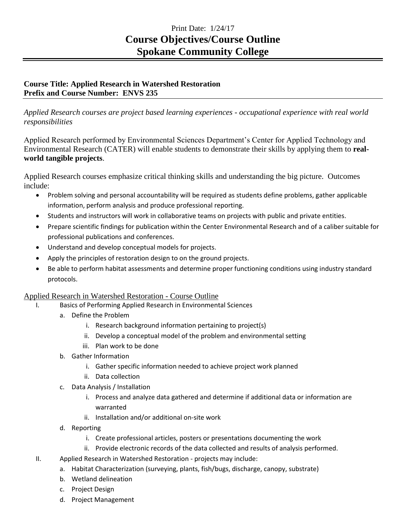## Print Date: 1/24/17 **Course Objectives/Course Outline Spokane Community College**

## **Course Title: Applied Research in Watershed Restoration Prefix and Course Number: ENVS 235**

*Applied Research courses are project based learning experiences - occupational experience with real world responsibilities*

Applied Research performed by Environmental Sciences Department's Center for Applied Technology and Environmental Research (CATER) will enable students to demonstrate their skills by applying them to **realworld tangible projects**.

Applied Research courses emphasize critical thinking skills and understanding the big picture. Outcomes include:

- Problem solving and personal accountability will be required as students define problems, gather applicable information, perform analysis and produce professional reporting.
- Students and instructors will work in collaborative teams on projects with public and private entities.
- Prepare scientific findings for publication within the Center Environmental Research and of a caliber suitable for professional publications and conferences.
- Understand and develop conceptual models for projects.
- Apply the principles of restoration design to on the ground projects.
- Be able to perform habitat assessments and determine proper functioning conditions using industry standard protocols.

## Applied Research in Watershed Restoration - Course Outline

- I. Basics of Performing Applied Research in Environmental Sciences
	- a. Define the Problem
		- i. Research background information pertaining to project(s)
		- ii. Develop a conceptual model of the problem and environmental setting
		- iii. Plan work to be done
	- b. Gather Information
		- i. Gather specific information needed to achieve project work planned
		- ii. Data collection
	- c. Data Analysis / Installation
		- i. Process and analyze data gathered and determine if additional data or information are warranted
		- ii. Installation and/or additional on-site work
	- d. Reporting
		- i. Create professional articles, posters or presentations documenting the work
		- ii. Provide electronic records of the data collected and results of analysis performed.
- II. Applied Research in Watershed Restoration projects may include:
	- a. Habitat Characterization (surveying, plants, fish/bugs, discharge, canopy, substrate)
	- b. Wetland delineation
	- c. Project Design
	- d. Project Management